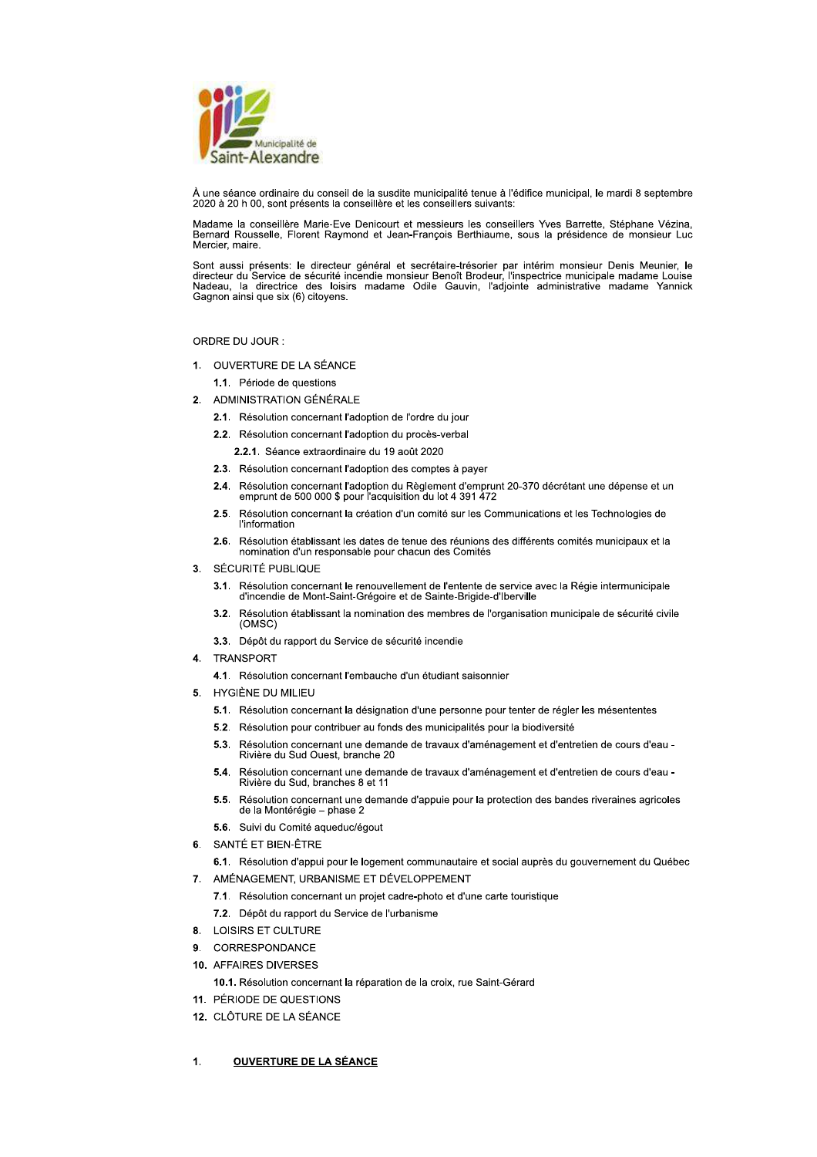

À une séance ordinaire du conseil de la susdite municipalité tenue à l'édifice municipal, le mardi 8 septembre 2020 à 20 h 00, sont présents la conseillère et les conseillers suivants:

Madame la conseillère Marie-Eve Denicourt et messieurs les conseillers Yves Barrette, Stéphane Vézina, Bernard Rousselle, Florent Raymond et Jean-François Berthiaume, sous la présidence de monsieur Luc Mercier, maire.

Sont aussi présents: le directeur général et secrétaire-trésorier par intérim monsieur Denis Meunier, le directeur du Service de sécurité incendie monsieur Benoît Brodeur, l'inspectrice municipale madame Louise<br>Nadeau, la Gagnon ainsi que six (6) citoyens.

ORDRE DU JOUR:

1. OUVERTURE DE LA SÉANCE

1.1. Période de questions

- 2. ADMINISTRATION GÉNÉRALE
	- 2.1. Résolution concernant l'adoption de l'ordre du jour
	- 2.2. Résolution concernant l'adoption du procès-verbal
		- 2.2.1. Séance extraordinaire du 19 août 2020
	- 2.3. Résolution concernant l'adoption des comptes à payer
	- 2.4. Résolution concernant l'adoption du Règlement d'emprunt 20-370 décrétant une dépense et un<br>emprunt de 500 000 \$ pour l'acquisition du lot 4 391 472
	- 2.5. Résolution concernant la création d'un comité sur les Communications et les Technologies de **l'information**
	- 2.6. Résolution établissant les dates de tenue des réunions des différents comités municipaux et la nomination d'un responsable pour chacun des Comités
- SÉCURITÉ PUBLIQUE  $\mathbf{R}$ 
	- 3.1. Résolution concernant le renouvellement de l'entente de service avec la Régie intermunicipale d'incendie de Mont-Saint-Grégoire et de Sainte-Brigide-d'Iberville
	- 3.2. Résolution établissant la nomination des membres de l'organisation municipale de sécurité civile (OMSC)
	- 3.3. Dépôt du rapport du Service de sécurité incendie
- $\mathbf{A}$ TRANSPORT
	- 4.1. Résolution concernant l'embauche d'un étudiant saisonnier
- 5. HYGIÈNE DU MILIEU
	- 5.1. Résolution concernant la désignation d'une personne pour tenter de régler les mésententes
	- 5.2. Résolution pour contribuer au fonds des municipalités pour la biodiversité
	- 5.3. Résolution concernant une demande de travaux d'aménagement et d'entretien de cours d'eau -Rivière du Sud Ouest, branche 20
	- 5.4. Résolution concernant une demande de travaux d'aménagement et d'entretien de cours d'eau -Rivière du Sud, branches 8 et 11
	- 5.5. Résolution concernant une demande d'appuie pour la protection des bandes riveraines agricoles de la Montérégie – phase 2
	- 5.6. Suivi du Comité aqueduc/égout
- 6. SANTÉ ET BIEN-ÊTRE
	- 6.1. Résolution d'appui pour le logement communautaire et social auprès du gouvernement du Québec
- 7. AMÉNAGEMENT, URBANISME ET DÉVELOPPEMENT
	- 7.1. Résolution concernant un projet cadre-photo et d'une carte touristique
	- 7.2. Dépôt du rapport du Service de l'urbanisme
- 8. LOISIRS ET CULTURE
- CORRESPONDANCE  $9<sub>1</sub>$
- 10. AFFAIRES DIVERSES
	- 10.1. Résolution concernant la réparation de la croix, rue Saint-Gérard
- 11. PÉRIODE DE QUESTIONS
- 12. CLÔTURE DE LA SÉANCE

### **OUVERTURE DE LA SÉANCE**  $\mathbf{1}$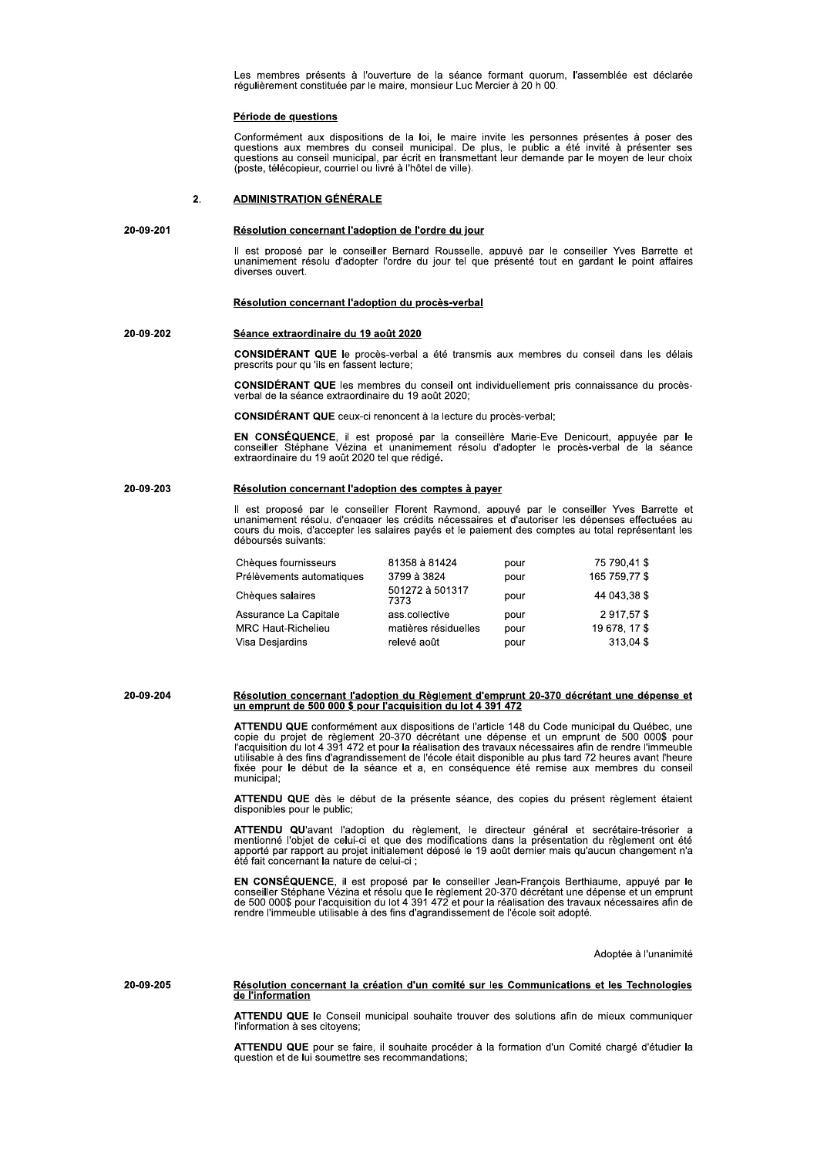Les membres présents à l'ouverture de la séance formant quorum, l'assemblée est déclarée régulièrement constituée par le maire, monsieur Luc Mercier à 20 h 00.

### Période de questions

Conformément aux dispositions de la loi, le maire invite les personnes présentes à poser des questions aux membres du conseil municipal. De plus, le public a été invité à présenter ses questions au conseil municipal, par é (poste, télécopieur, courriel ou livré à l'hôtel de ville).

### **ADMINISTRATION GÉNÉRALE**  $\overline{2}$ .

#### 20-09-201 Résolution concernant l'adoption de l'ordre du jour

Il est proposé par le conseiller Bernard Rousselle, appuyé par le conseiller Yves Barrette et unanimement résolu d'adopter l'ordre du jour tel que présenté tout en gardant le point affaires diverses ouvert.

### Résolution concernant l'adoption du procès-verbal

### 20-09-202 Séance extraordinaire du 19 août 2020

CONSIDÉRANT QUE le procès-verbal a été transmis aux membres du conseil dans les délais prescrits pour qu 'ils en fassent lecture;

CONSIDÉRANT QUE les membres du conseil ont individuellement pris connaissance du procèsverbal de la séance extraordinaire du 19 août 2020;

**CONSIDÉRANT QUE** ceux-ci renoncent à la lecture du procès-verbal:

EN CONSÉQUENCE, il est proposé par la conseillère Marie-Eve Denicourt, appuyée par le conseiller Stéphane Vézina et unanimement résolu d'adopter le procès-verbal de la séance extraordinaire du 19 août 2020 tel que rédigé.

### 20-09-203 Résolution concernant l'adoption des comptes à payer

Il est proposé par le conseiller Florent Raymond, appuyé par le conseiller Yves Barrette et unanimement résolu, d'engager les crédits nécessaires et d'autoriser les dépenses effectuées au cours du mois, d'accepter les salaires payés et le paiement des comptes au total représentant les déboursés suivants:

| 81358 à 81424           | pour | 75 790 41 \$  |
|-------------------------|------|---------------|
| 3799 à 3824             | pour | 165 759 77 \$ |
| 501272 à 501317<br>7373 | pour | 44 043.38 \$  |
| ass.collective          | pour | 2917.57\$     |
| matières résiduelles    | pour | 19 678, 17 \$ |
| relevé août             | pour | 313.04\$      |
|                         |      |               |

20-09-204 Résolution concernant l'adoption du Règlement d'emprunt 20-370 décrétant une dépense et<br>un emprunt de 500 000 \$ pour l'acquisition du lot 4 391 472

> ATTENDU QUE conformément aux dispositions de l'article 148 du Code municipal du Québec, une copie du projet de règlement 20-370 décrétant une dépense et un emprunt de 500 000\$ pour l'acquisition du lot 4 391 472 et pour la réalisation des travaux nécessaires afin de rendre l'immeuble<br>utilisable à des fins d'agrandissement de l'école était disponible au plus tard 72 heures avant l'heure<br>fixée pour le municipal;

> ATTENDU QUE dès le début de la présente séance, des copies du présent règlement étaient disponibles pour le public;

> ATTENDU QU'avant l'adoption du règlement, le directeur général et secrétaire-trésorier a<br>mentionné l'objet de celui-ci et que des modifications dans la présentation du règlement ont été mentation in response a construction de la constantion de la proceduration de regionnement plus apporté par rapport au projet initialement déposé le 19 août dernier mais qu'aucun changement n'a<br>été fait concernant la natur

> EN CONSÉQUENCE, il est proposé par le conseiller Jean-François Berthiaume, appuyé par le conseiller Stéphane Vézina et résolu que le règlement 20-370 décrétant une dépense et un emprunt de 500 000\$ pour l'acquisition du lo rendre l'immeuble utilisable à des fins d'agrandissement de l'école soit adopté.

> > Adoptée à l'unanimité

20-09-205 Résolution concernant la création d'un comité sur les Communications et les Technologies de l'information

> ATTENDU QUE le Conseil municipal souhaite trouver des solutions afin de mieux communiquer l'information à ses citoyens;

> ATTENDU QUE pour se faire, il souhaite procéder à la formation d'un Comité chargé d'étudier la<br>question et de lui soumettre ses recommandations;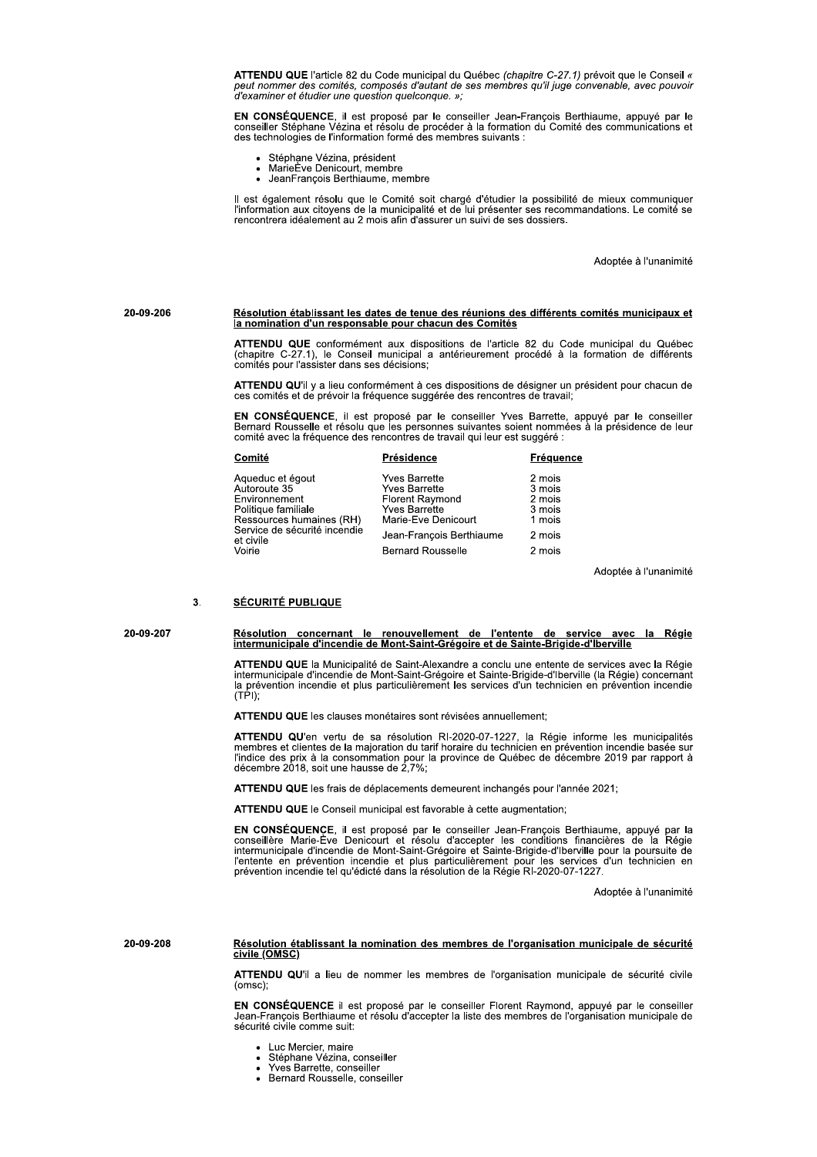ATTENDU QUE l'article 82 du Code municipal du Québec (chapitre C-27.1) prévoit que le Conseil «<br>peut nommer des comités, composés d'autant de ses membres qu'il juge convenable, avec pouvoir d'examiner et étudier une question quelconque. »;

EN CONSÉQUENCE, il est proposé par le conseiller Jean-François Berthiaume, appuyé par le conseiller Stéphane Vézina et résolu de procéder à la formation du Comité des communications et des technologies de l'information formé des membres suivants :

- Stéphạne Vézina, président
- MarieEve Denicourt, membre<br>JeanFrançois Berthiaume, membre  $\bullet$
- 

Il est également résolu que le Comité soit chargé d'étudier la possibilité de mieux communiquer<br>l'information aux citoyens de la municipalité et de lui présenter ses recommandations. Le comité se<br>rencontrera idéalement au

Adoptée à l'unanimité

## Résolution établissant les dates de tenue des réunions des différents comités municipaux et la nomination d'un responsable pour chacun des Comités

ATTENDU QUE conformément aux dispositions de l'article 82 du Code municipal du Québec (chapitre C-27.1), le Conseil municipal a antérieurement procédé à la formation de différents comités pour l'assister dans ses décisions:

ATTENDU QU'il y a lieu conformément à ces dispositions de désigner un président pour chacun de ces comités et de prévoir la fréquence suggérée des rencontres de travail;

EN CONSÉQUENCE, il est proposé par le conseiller Yves Barrette, appuyé par le conseiller Bernard Rousselle et résolu que les personnes suivantes soient nommées à la présidence de leur<br>comité avec la fréquence des rencontres de travail qui leur est suggéré :

| Comité                                                                                               | Présidence                                                                                                     | Fréquence                                      |
|------------------------------------------------------------------------------------------------------|----------------------------------------------------------------------------------------------------------------|------------------------------------------------|
| Aqueduc et égout<br>Autoroute 35<br>Environnement<br>Politique familiale<br>Ressources humaines (RH) | <b>Yves Barrette</b><br>Yves Barrette<br><b>Florent Raymond</b><br><b>Yves Barrette</b><br>Marie-Eve Denicourt | 2 mois<br>3 mois<br>2 mois<br>3 mois<br>1 mois |
| Service de sécurité incendie<br>et civile                                                            | Jean-François Berthiaume                                                                                       | 2 mois                                         |
| Voirie                                                                                               | <b>Bernard Rousselle</b>                                                                                       | 2 mois                                         |
|                                                                                                      |                                                                                                                |                                                |

Adoptée à l'unanimité

#### $3.$ **SÉCURITÉ PUBLIQUE**

20-09-207

20-09-208

20-09-206

# Résolution concernant le renouvellement de l'entente de service avec la Régie<br>intermunicipale d'incendie de Mont-Saint-Grégoire et de Sainte-Brigide-d'Iberville

ATTENDU QUE la Municipalité de Saint-Alexandre a conclu une entente de services avec la Régie intermunicipale d'incendie de Mont-Saint-Grégoire et Sainte-Brigide-d'Iberville (la Régie) concernant la prévention incendie et plus particulièrement les services d'un technicien en prévention incendie<br>(TPI);

### ATTENDU QUE les clauses monétaires sont révisées annuellement;

ATTENDU QU'en vertu de sa résolution RI-2020-07-1227, la Régie informe les municipalités Traitive de la majoration du tarif horaire du technicien en prévention incendie basée sur<br>l'indice des prix à la consommation pour la province de Québec de décembre 2019 par rapport à<br>décembre 2018, soit une hausse de 2,7%

ATTENDU QUE les frais de déplacements demeurent inchangés pour l'année 2021;

ATTENDU QUE le Conseil municipal est favorable à cette augmentation;

EN CONSÉQUENCE, il est proposé par le conseiller Jean-François Berthiaume, appuyé par la conseillère Marie-Ève Denicourt et résolu d'accepter les conditions financières de la Régie intermunicipale d'incendie de Mont-Saint-

Adoptée à l'unanimité

### Résolution établissant la nomination des membres de l'organisation municipale de sécurité civile (OMSC)

ATTENDU QU'il a lieu de nommer les membres de l'organisation municipale de sécurité civile  $(omsc)$ 

EN CONSÉQUENCE il est proposé par le conseiller Florent Raymond, appuyé par le conseiller<br>Jean-François Berthiaume et résolu d'accepter la liste des membres de l'organisation municipale de sécurité civile comme suit:

- Luc Mercier, maire
- Stéphane Vézina, conseiller
- Yves Barrette, conseiller
- Bernard Rousselle, conseiller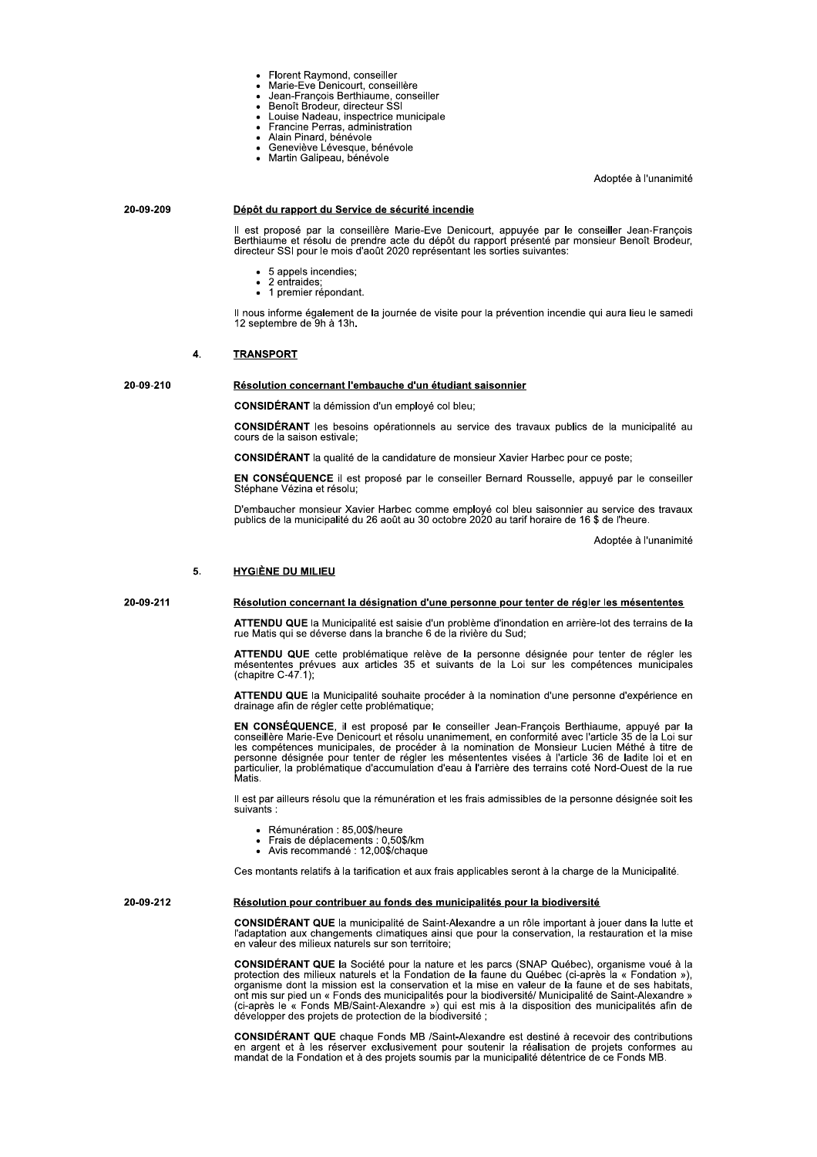- Florent Raymond, conseiller<br>Marie-Eve Denicourt, conseillère
- 
- Jean-François Berthiaume, conseiller
	- Benoît Brodeur, directeur SSI<br>Louise Nadeau, inspectrice municipale
	- Francine Perras, administration
- $\ddot{\phantom{0}}$
- Alain Pinard, bénévole<br>Geneviève Lévesque, bénévole
- Martin Galipeau, bénévole

Adoptée à l'unanimité

### 20-09-209 Dépôt du rapport du Service de sécurité incendie

Il est proposé par la conseillère Marie-Eve Denicourt, appuyée par le conseiller Jean-François<br>Berthiaume et résolu de prendre acte du dépôt du rapport présenté par monsieur Benoît Brodeur,<br>directeur SSI pour le mois d'aoû

- 5 appels incendies:
- 2 entraides:  $\ddot{\phantom{0}}$ 1 premier répondant.

Il nous informe également de la journée de visite pour la prévention incendie qui aura lieu le samedi 12 septembre de 9h à 13h.

#### $\overline{4}$ . **TRANSPORT**

20-09-210 Résolution concernant l'embauche d'un étudiant saisonnier

**CONSIDÉRANT** la démission d'un employé col bleu:

CONSIDÉRANT les besoins opérationnels au service des travaux publics de la municipalité au cours de la saison estivale:

CONSIDÉRANT la qualité de la candidature de monsieur Xavier Harbec pour ce poste;

EN CONSÉQUENCE il est proposé par le conseiller Bernard Rousselle, appuyé par le conseiller Stéphane Vézina et résolu;

D'embaucher monsieur Xavier Harbec comme employé col bleu saisonnier au service des travaux<br>publics de la municipalité du 26 août au 30 octobre 2020 au tarif horaire de 16 \$ de l'heure.

Adoptée à l'unanimité

#### 5. **HYGIÈNE DU MILIEU**

20-09-211

### Résolution concernant la désignation d'une personne pour tenter de régler les mésententes

ATTENDU QUE la Municipalité est saisie d'un problème d'inondation en arrière-lot des terrains de la rue Matis qui se déverse dans la branche 6 de la rivière du Sud:

ATTENDU QUE cette problématique relève de la personne désignée pour tenter de régler les mésententes prévues aux articles 35 et suivants de la Loi sur les compétences municipales (chapitre C-47.1);

ATTENDU QUE la Municipalité souhaite procéder à la nomination d'une personne d'expérience en drainage afin de régler cette problématique;

EN CONSÉQUENCE, il est proposé par le conseiller Jean-François Berthiaume, appuyé par la<br>conseillère Marie-Eve Denicourt et résolu unanimement, en conformité avec l'article 35 de la Loi sur les compétences municipales, de procéder à la nomination de Monsieur Lucien Méthé à titre de Service désignée pour tenter de régler les mésententes visées à l'article 36 de ladite loi et en<br>particulier, la problématique d'accumulation d'eau à l'arrière des terrains coté Nord-Ouest de la rue<br>Matis.

Il est par ailleurs résolu que la rémunération et les frais admissibles de la personne désignée soit les suivants:

- Rémunération : 85,00\$/heure
- Frais de déplacements : 0,50\$/km<br>Frais de déplacements : 0,50\$/km<br>Avis recommandé : 12,00\$/chaque
- 

Ces montants relatifs à la tarification et aux frais applicables seront à la charge de la Municipalité.

20-09-212 Résolution pour contribuer au fonds des municipalités pour la biodiversité

> CONSIDÉRANT QUE la municipalité de Saint-Alexandre a un rôle important à jouer dans la lutte et l'adaptation aux changements climatiques ainsi que pour la conservation, la restauration et la mise en valeur des milieux naturels sur son territoire:

> CONSIDÉRANT QUE la Société pour la nature et les parcs (SNAP Québec), organisme voué à la protection des milieux naturels et la Fondation de la faune du Québec (ci-après la « Fondation »),<br>organisme dont la mission est la conservation et la mise en valeur de la faune et de ses habitats, ent mis sur pied un « Fonds des municipalités pour la biodiversité/ Municipalité de Saint-Alexandre » (ci-après le « Fonds MB/Saint-Alexandre ») qui est mis à la disposition des municipalités afin de développer des projets de protection de la biodiversité :

> CONSIDÉRANT QUE chaque Fonds MB /Saint-Alexandre est destiné à recevoir des contributions en argent et à les réserver exclusivement pour soutenir la réalisation de projets conformes au<br>mandat de la Fondation et à des projets soumis par la municipalité détentrice de ce Fonds MB.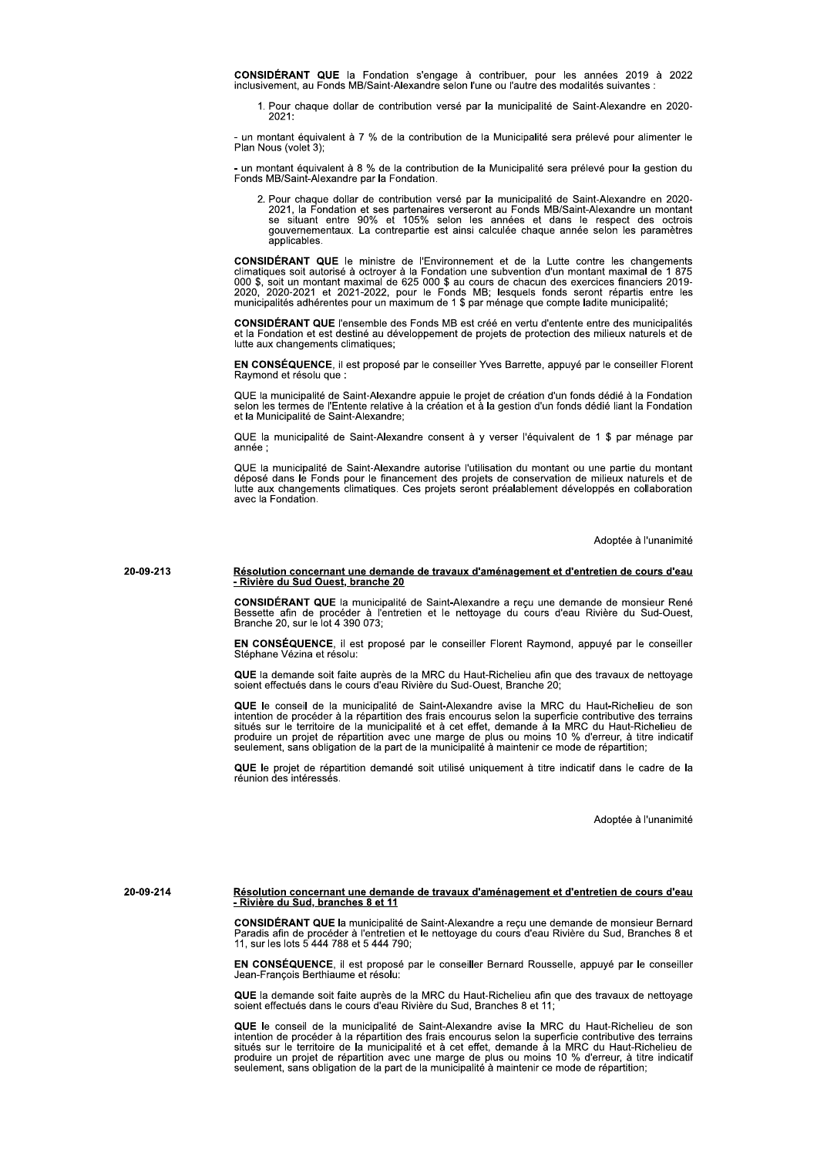CONSIDÉRANT QUE la Fondation s'engage à contribuer, pour les années 2019 à 2022<br>inclusivement, au Fonds MB/Saint-Alexandre selon l'une ou l'autre des modalités suivantes :

1. Pour chaque dollar de contribution versé par la municipalité de Saint-Alexandre en 2020- $2021$ 

- un montant équivalent à 7 % de la contribution de la Municipalité sera prélevé pour alimenter le<br>Plan Nous (volet 3);

- un montant équivalent à 8 % de la contribution de la Municipalité sera prélevé pour la gestion du<br>Fonds MB/Saint-Alexandre par la Fondation.

2. Pour chaque dollar de contribution versé par la municipalité de Saint-Alexandre en 2020-<br>2021, la Fondation et ses partenaires verseront au Fonds MB/Saint-Alexandre un montant<br>se situant entre 90% et 105% selon les anné gouvernementaux. La contrepartie est ainsi calculée chaque année selon les paramètres annlicables

**CONSIDÉRANT QUE** le ministre de l'Environnement et de la Lutte contre les changements climatiques soit autorisé à octroyer à la Fondation une subvention d'un montant maximal de 1 875<br>000 \$, soit un montant maximal de 625 2020, 2020-2021 et 2021-2022, pour le Fonds MB; lesquels fonds seront répartis entre les<br>municipalités adhérentes pour un maximum de 1 \$ par ménage que compte ladite municipalité;

CONSIDÉRANT QUE l'ensemble des Fonds MB est créé en vertu d'entente entre des municipalités et la Fondation et est destiné au développement de projets de protection des milieux naturels et de lutte aux changements climatiques:

EN CONSÉQUENCE, il est proposé par le conseiller Yves Barrette, appuyé par le conseiller Florent Raymond et résolu que :

QUE la municipalité de Saint-Alexandre appuie le projet de création d'un fonds dédié à la Fondation<br>selon les termes de l'Entente relative à la création et à la gestion d'un fonds dédié liant la Fondation et la Municipalité de Saint-Alexandre:

QUE la municipalité de Saint-Alexandre consent à v verser l'équivalent de 1 \$ par ménage par année.

QUE la municipalité de Saint-Alexandre autorise l'utilisation du montant ou une partie du montant<br>déposé dans le Fonds pour le financement des projets de conservation de milieux naturels et de<br>lutte aux changements climati avec la Fondation.

Adoptée à l'unanimité

### 20-09-213 Résolution concernant une demande de travaux d'aménagement et d'entretien de cours d'eau - Rivière du Sud Ouest, branche 20

CONSIDÉRANT QUE la municipalité de Saint-Alexandre a recu une demande de monsieur René Bessette afin de procéder à l'entretien et le nettoyage du cours d'eau Rivière du Sud-Ouest,<br>Branche 20, sur le lot 4 390 073;

EN CONSÉQUENCE, il est proposé par le conseiller Florent Raymond, appuyé par le conseiller Stéphane Vézina et résolu:

QUE la demande soit faite auprès de la MRC du Haut-Richelieu afin que des travaux de nettoyage soient effectués dans le cours d'eau Rivière du Sud-Ouest, Branche 20

QUE le conseil de la municipalité de Saint-Alexandre avise la MRC du Haut-Richelieu de son se la mention de procéder à la répartition des frais encourus selon la superficie contributive des terrains<br>situés sur le territoire de la municipalité et à cet effet, demande à la MRC du Haut-Richelieu de<br>produire un proj seulement, sans obligation de la part de la municipalité à maintenir ce mode de répartition

QUE le projet de répartition demandé soit utilisé uniquement à titre indicatif dans le cadre de la réunion des intéressés.

Adoptée à l'unanimité

Résolution concernant une demande de travaux d'aménagement et d'entretien de cours d'eau<br>- Rivière du Sud, branches 8 et 11 20-09-214

> CONSIDÉRANT QUE la municipalité de Saint-Alexandre a reçu une demande de monsieur Bernard<br>Paradis afin de procéder à l'entretien et le nettoyage du cours d'eau Rivière du Sud, Branches 8 et 11, sur les lots 5 444 788 et 5 444 790:

> EN CONSÉQUENCE, il est proposé par le conseiller Bernard Rousselle, appuyé par le conseiller Jean-Francois Berthiaume et résolu:

> QUE la demande soit faite auprès de la MRC du Haut-Richelieu afin que des travaux de nettoyage soient effectués dans le cours d'eau Rivière du Sud, Branches 8 et 11;

> QUE le conseil de la municipalité de Saint-Alexandre avise la MRC du Haut-Richelieu de son **NOCE** le conseil de l'inuncipalité de Saint-Alexandre avise la vinct du Tatalité de procéder à la répartition des frais encourus selon la superficie contributive des terrains situés sur le territoire de la municipalité et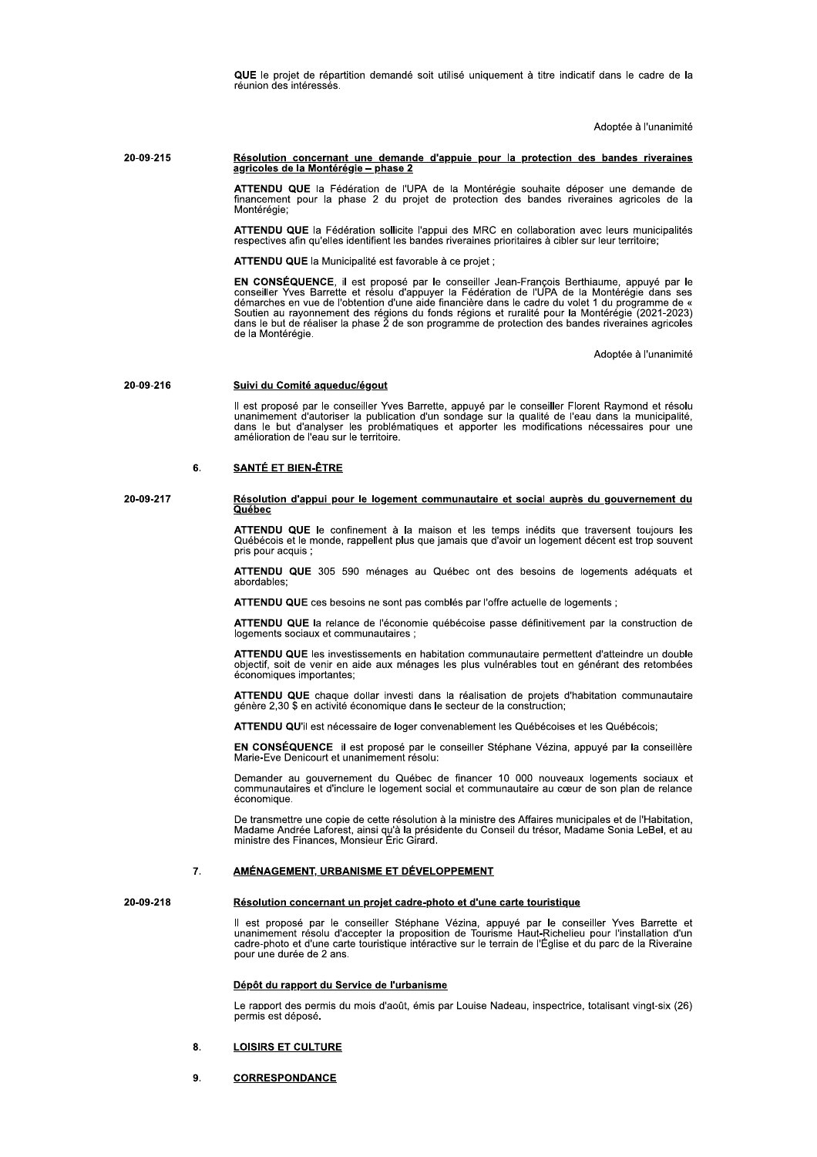QUE le projet de répartition demandé soit utilisé uniquement à titre indicatif dans le cadre de la réunion des intéressés.

Adoptée à l'unanimité

### 20-09-215 Résolution concernant une demande d'appuie pour la protection des bandes riveraines agricoles de la Montérégie - phase 2

ATTENDU QUE la Fédération de l'UPA de la Montérégie souhaite déposer une demande de<br>financement pour la phase 2 du projet de protection des bandes riveraines agricoles de la Montérégie

ATTENDU QUE la Fédération sollicite l'appui des MRC en collaboration avec leurs municipalités respectives afin qu'elles identifient les bandes riveraines prioritaires à cibler sur leur territoire;

ATTENDU QUE la Municipalité est favorable à ce projet ;

EN CONSÉQUENCE, il est proposé par le conseiller Jean-François Berthiaume, appuyé par le conseiller Yves Barrette et résolu d'appuyer la Fédération de l'UPA de la Montérégie dans ses démarches en vue de l'obtention d'une aide financière dans le cadre du volet 1 du programme de «<br>Soutien au rayonnement des régions du fonds régions et ruralité pour la Montérégie (2021-2023) dans le but de réaliser la phase 2 de son programme de protection des bandes riveraines agricoles de la Montérégie.

Adoptée à l'unanimité

#### 20-09-216 Suivi du Comité aqueduc/égout

Il est proposé par le conseiller Yves Barrette, appuyé par le conseiller Florent Raymond et résolu<br>unanimement d'autoriser la publication d'un sondage sur la qualité de l'eau dans la municipalité, dans le but d'analyser les problématiques et apporter les modifications nécessaires pour une amélioration de l'eau sur le territoire.

### 6. **SANTÉ ET BIEN-ÊTRE**

20-09-217

### Résolution d'appui pour le logement communautaire et social auprès du gouvernement du Québec

ATTENDU QUE le confinement à la maison et les temps inédits que traversent toujours les<br>Québécois et le monde, rappellent plus que jamais que d'avoir un logement décent est trop souvent pris pour acquis ;

ATTENDU QUE 305 590 ménages au Québec ont des besoins de logements adéquats et abordables:

ATTENDU QUE ces besoins ne sont pas comblés par l'offre actuelle de logements ;

ATTENDU QUE la relance de l'économie québécoise passe définitivement par la construction de logements sociaux et communautaires

ATTENDU QUE les investissements en habitation communautaire permettent d'atteindre un double objectif, soit de venir en aide aux ménages les plus vulnérables tout en générant des retombées<br>économiques importantes:

ATTENDU QUE chaque dollar investi dans la réalisation de projets d'habitation communautaire génère 2,30 \$ en activité économique dans le secteur de la construction;

ATTENDU QU'il est nécessaire de loger convenablement les Québécoises et les Québécois;

EN CONSÉQUENCE il est proposé par le conseiller Stéphane Vézina, appuyé par la conseillère Marie-Eve Denicourt et unanimement résolu:

Surface and substration of the process of the communautaires of d'inclure le logement social et communautaires et d'inclure le logement social et communautaire au cœur de son plan de relance économique. Demander au gouvernement du Québec de financer 10 000 nouveaux logements sociaux et

De transmettre une copie de cette résolution à la ministre des Affaires municipales et de l'Habitation, Madame Andrée Laforest, ainsi qu'à la présidente du Conseil du trésor, Madame Sonia LeBel, et au ministre des Finances, Monsieur Eric Girard.

#### $\overline{7}$ . AMÉNAGEMENT, URBANISME ET DÉVELOPPEMENT

20-09-218

### Résolution concernant un projet cadre-photo et d'une carte touristique

Il est proposé par le conseiller Stéphane Vézina, appuyé par le conseiller Yves Barrette et unanimement résolu d'accepter la proposition de Tourisme Haut-Richelieu pour l'installation d'un<br>cadre-photo et d'une carte touristique intéractive sur le terrain de l'Église et du parc de la Riveraine pour une durée de 2 ans.

### Dépôt du rapport du Service de l'urbanisme

Le rapport des permis du mois d'août, émis par Louise Nadeau, inspectrice, totalisant vingt-six (26) permis est déposé.

#### $\mathbf{8}$ **LOISIRS ET CULTURE**

9. **CORRESPONDANCE**